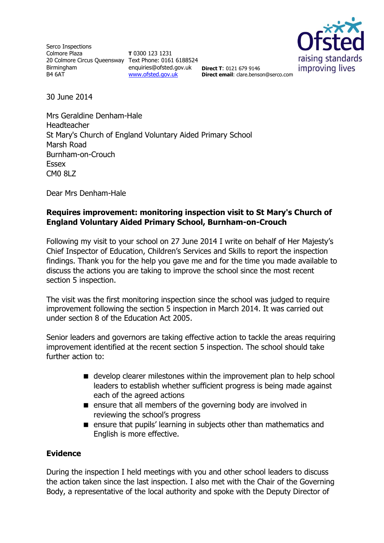Serco Inspections Colmore Plaza 20 Colmore Circus Queensway Text Phone: 0161 6188524 Birmingham B4 6AT

**T** 0300 123 1231 enquiries@ofsted.gov.uk **Direct T**: 0121 679 9146 [www.ofsted.gov.uk](http://www.ofsted.gov.uk/)



**Direct email**: clare.benson@serco.com

30 June 2014

Mrs Geraldine Denham-Hale Headteacher St Mary's Church of England Voluntary Aided Primary School Marsh Road Burnham-on-Crouch Essex CM0 8LZ

Dear Mrs Denham-Hale

# **Requires improvement: monitoring inspection visit to St Mary's Church of England Voluntary Aided Primary School, Burnham-on-Crouch**

Following my visit to your school on 27 June 2014 I write on behalf of Her Majesty's Chief Inspector of Education, Children's Services and Skills to report the inspection findings. Thank you for the help you gave me and for the time you made available to discuss the actions you are taking to improve the school since the most recent section 5 inspection.

The visit was the first monitoring inspection since the school was judged to require improvement following the section 5 inspection in March 2014. It was carried out under section 8 of the Education Act 2005.

Senior leaders and governors are taking effective action to tackle the areas requiring improvement identified at the recent section 5 inspection. The school should take further action to:

- develop clearer milestones within the improvement plan to help school leaders to establish whether sufficient progress is being made against each of the agreed actions
- **E** ensure that all members of the governing body are involved in reviewing the school's progress
- **E** ensure that pupils' learning in subjects other than mathematics and English is more effective.

#### **Evidence**

During the inspection I held meetings with you and other school leaders to discuss the action taken since the last inspection. I also met with the Chair of the Governing Body, a representative of the local authority and spoke with the Deputy Director of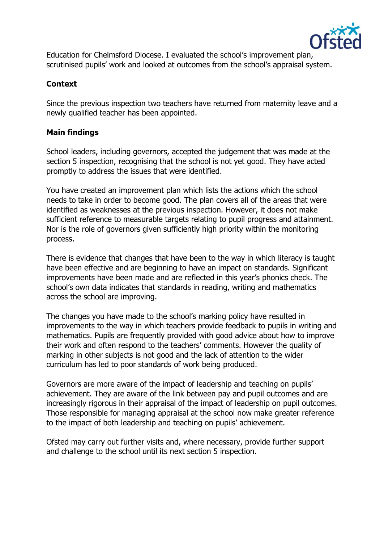

Education for Chelmsford Diocese. I evaluated the school's improvement plan, scrutinised pupils' work and looked at outcomes from the school's appraisal system.

# **Context**

Since the previous inspection two teachers have returned from maternity leave and a newly qualified teacher has been appointed.

#### **Main findings**

School leaders, including governors, accepted the judgement that was made at the section 5 inspection, recognising that the school is not yet good. They have acted promptly to address the issues that were identified.

You have created an improvement plan which lists the actions which the school needs to take in order to become good. The plan covers all of the areas that were identified as weaknesses at the previous inspection. However, it does not make sufficient reference to measurable targets relating to pupil progress and attainment. Nor is the role of governors given sufficiently high priority within the monitoring process.

There is evidence that changes that have been to the way in which literacy is taught have been effective and are beginning to have an impact on standards. Significant improvements have been made and are reflected in this year's phonics check. The school's own data indicates that standards in reading, writing and mathematics across the school are improving.

The changes you have made to the school's marking policy have resulted in improvements to the way in which teachers provide feedback to pupils in writing and mathematics. Pupils are frequently provided with good advice about how to improve their work and often respond to the teachers' comments. However the quality of marking in other subjects is not good and the lack of attention to the wider curriculum has led to poor standards of work being produced.

Governors are more aware of the impact of leadership and teaching on pupils' achievement. They are aware of the link between pay and pupil outcomes and are increasingly rigorous in their appraisal of the impact of leadership on pupil outcomes. Those responsible for managing appraisal at the school now make greater reference to the impact of both leadership and teaching on pupils' achievement.

Ofsted may carry out further visits and, where necessary, provide further support and challenge to the school until its next section 5 inspection.